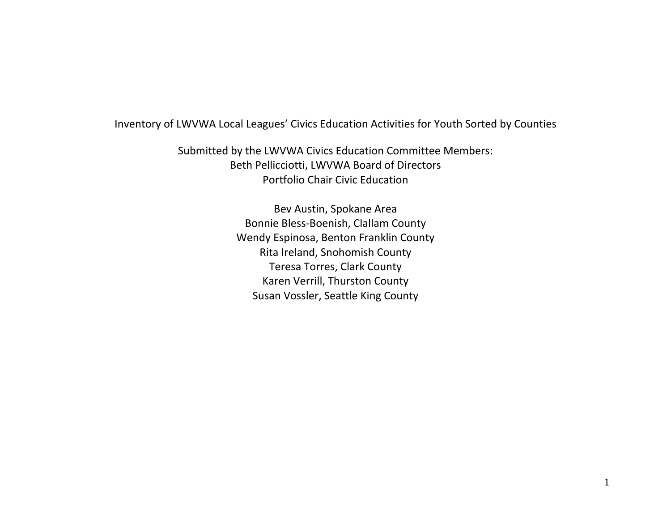## Inventory of LWVWA Local Leagues' Civics Education Activities for Youth Sorted by Counties

Submitted by the LWVWA Civics Education Committee Members: Beth Pellicciotti, LWVWA Board of Directors Portfolio Chair Civic Education

> Bev Austin, Spokane Area Bonnie Bless-Boenish, Clallam County Wendy Espinosa, Benton Franklin County Rita Ireland, Snohomish County Teresa Torres, Clark County Karen Verrill, Thurston County Susan Vossler, Seattle King County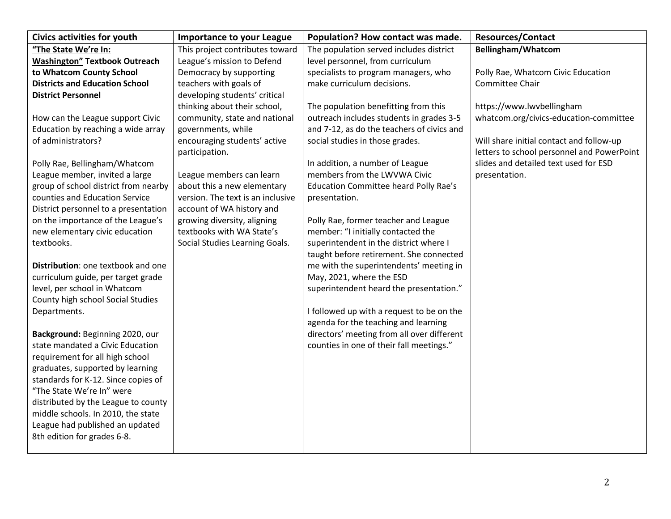| <b>Civics activities for youth</b>    | <b>Importance to your League</b>               | Population? How contact was made.            | <b>Resources/Contact</b>                                                               |
|---------------------------------------|------------------------------------------------|----------------------------------------------|----------------------------------------------------------------------------------------|
| "The State We're In:                  | This project contributes toward                | The population served includes district      | Bellingham/Whatcom                                                                     |
| <b>Washington" Textbook Outreach</b>  | League's mission to Defend                     | level personnel, from curriculum             |                                                                                        |
| to Whatcom County School              | Democracy by supporting                        | specialists to program managers, who         | Polly Rae, Whatcom Civic Education                                                     |
| <b>Districts and Education School</b> | teachers with goals of                         | make curriculum decisions.                   | Committee Chair                                                                        |
| <b>District Personnel</b>             | developing students' critical                  |                                              |                                                                                        |
|                                       | thinking about their school,                   | The population benefitting from this         | https://www.lwvbellingham                                                              |
| How can the League support Civic      | community, state and national                  | outreach includes students in grades 3-5     | whatcom.org/civics-education-committee                                                 |
| Education by reaching a wide array    | governments, while                             | and 7-12, as do the teachers of civics and   |                                                                                        |
| of administrators?                    | encouraging students' active<br>participation. | social studies in those grades.              | Will share initial contact and follow-up<br>letters to school personnel and PowerPoint |
| Polly Rae, Bellingham/Whatcom         |                                                | In addition, a number of League              | slides and detailed text used for ESD                                                  |
| League member, invited a large        | League members can learn                       | members from the LWVWA Civic                 | presentation.                                                                          |
| group of school district from nearby  | about this a new elementary                    | <b>Education Committee heard Polly Rae's</b> |                                                                                        |
| counties and Education Service        | version. The text is an inclusive              | presentation.                                |                                                                                        |
| District personnel to a presentation  | account of WA history and                      |                                              |                                                                                        |
| on the importance of the League's     | growing diversity, aligning                    | Polly Rae, former teacher and League         |                                                                                        |
| new elementary civic education        | textbooks with WA State's                      | member: "I initially contacted the           |                                                                                        |
| textbooks.                            | Social Studies Learning Goals.                 | superintendent in the district where I       |                                                                                        |
|                                       |                                                | taught before retirement. She connected      |                                                                                        |
| Distribution: one textbook and one    |                                                | me with the superintendents' meeting in      |                                                                                        |
| curriculum guide, per target grade    |                                                | May, 2021, where the ESD                     |                                                                                        |
| level, per school in Whatcom          |                                                | superintendent heard the presentation."      |                                                                                        |
| County high school Social Studies     |                                                |                                              |                                                                                        |
| Departments.                          |                                                | I followed up with a request to be on the    |                                                                                        |
|                                       |                                                | agenda for the teaching and learning         |                                                                                        |
| Background: Beginning 2020, our       |                                                | directors' meeting from all over different   |                                                                                        |
| state mandated a Civic Education      |                                                | counties in one of their fall meetings."     |                                                                                        |
| requirement for all high school       |                                                |                                              |                                                                                        |
| graduates, supported by learning      |                                                |                                              |                                                                                        |
| standards for K-12. Since copies of   |                                                |                                              |                                                                                        |
| "The State We're In" were             |                                                |                                              |                                                                                        |
| distributed by the League to county   |                                                |                                              |                                                                                        |
| middle schools. In 2010, the state    |                                                |                                              |                                                                                        |
| League had published an updated       |                                                |                                              |                                                                                        |
| 8th edition for grades 6-8.           |                                                |                                              |                                                                                        |
|                                       |                                                |                                              |                                                                                        |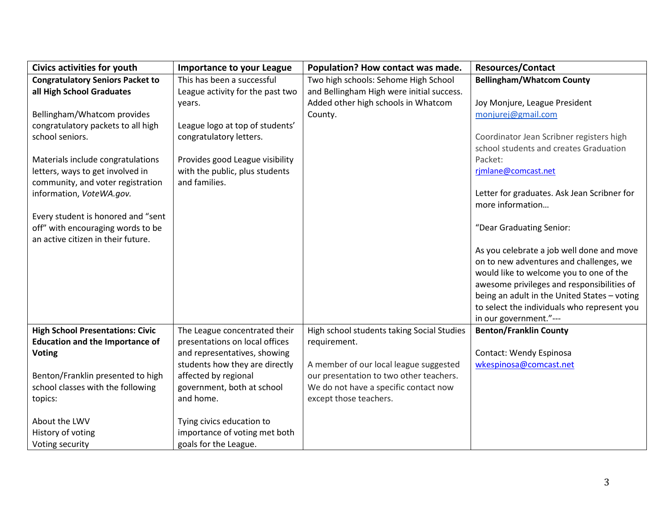| <b>Civics activities for youth</b>      | <b>Importance to your League</b> | Population? How contact was made.          | <b>Resources/Contact</b>                                              |
|-----------------------------------------|----------------------------------|--------------------------------------------|-----------------------------------------------------------------------|
| <b>Congratulatory Seniors Packet to</b> | This has been a successful       | Two high schools: Sehome High School       | <b>Bellingham/Whatcom County</b>                                      |
| all High School Graduates               | League activity for the past two | and Bellingham High were initial success.  |                                                                       |
|                                         | years.                           | Added other high schools in Whatcom        | Joy Monjure, League President                                         |
| Bellingham/Whatcom provides             |                                  | County.                                    | monjurej@gmail.com                                                    |
| congratulatory packets to all high      | League logo at top of students'  |                                            |                                                                       |
| school seniors.                         | congratulatory letters.          |                                            | Coordinator Jean Scribner registers high                              |
|                                         |                                  |                                            | school students and creates Graduation                                |
| Materials include congratulations       | Provides good League visibility  |                                            | Packet:                                                               |
| letters, ways to get involved in        | with the public, plus students   |                                            | rjmlane@comcast.net                                                   |
| community, and voter registration       | and families.                    |                                            |                                                                       |
| information, VoteWA.gov.                |                                  |                                            | Letter for graduates. Ask Jean Scribner for                           |
|                                         |                                  |                                            | more information                                                      |
| Every student is honored and "sent      |                                  |                                            |                                                                       |
| off" with encouraging words to be       |                                  |                                            | "Dear Graduating Senior:                                              |
| an active citizen in their future.      |                                  |                                            |                                                                       |
|                                         |                                  |                                            | As you celebrate a job well done and move                             |
|                                         |                                  |                                            | on to new adventures and challenges, we                               |
|                                         |                                  |                                            | would like to welcome you to one of the                               |
|                                         |                                  |                                            | awesome privileges and responsibilities of                            |
|                                         |                                  |                                            | being an adult in the United States - voting                          |
|                                         |                                  |                                            | to select the individuals who represent you<br>in our government."--- |
| <b>High School Presentations: Civic</b> | The League concentrated their    | High school students taking Social Studies | <b>Benton/Franklin County</b>                                         |
| <b>Education and the Importance of</b>  | presentations on local offices   | requirement.                               |                                                                       |
| <b>Voting</b>                           | and representatives, showing     |                                            | Contact: Wendy Espinosa                                               |
|                                         | students how they are directly   | A member of our local league suggested     | wkespinosa@comcast.net                                                |
| Benton/Franklin presented to high       | affected by regional             | our presentation to two other teachers.    |                                                                       |
| school classes with the following       | government, both at school       | We do not have a specific contact now      |                                                                       |
| topics:                                 | and home.                        | except those teachers.                     |                                                                       |
|                                         |                                  |                                            |                                                                       |
| About the LWV                           | Tying civics education to        |                                            |                                                                       |
| History of voting                       | importance of voting met both    |                                            |                                                                       |
| Voting security                         | goals for the League.            |                                            |                                                                       |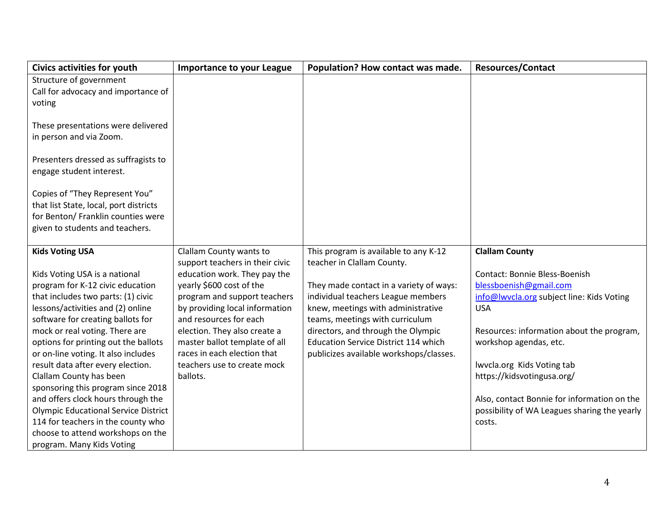| <b>Civics activities for youth</b>          | <b>Importance to your League</b> | Population? How contact was made.           | <b>Resources/Contact</b>                     |
|---------------------------------------------|----------------------------------|---------------------------------------------|----------------------------------------------|
| Structure of government                     |                                  |                                             |                                              |
| Call for advocacy and importance of         |                                  |                                             |                                              |
| voting                                      |                                  |                                             |                                              |
|                                             |                                  |                                             |                                              |
| These presentations were delivered          |                                  |                                             |                                              |
| in person and via Zoom.                     |                                  |                                             |                                              |
|                                             |                                  |                                             |                                              |
| Presenters dressed as suffragists to        |                                  |                                             |                                              |
| engage student interest.                    |                                  |                                             |                                              |
|                                             |                                  |                                             |                                              |
| Copies of "They Represent You"              |                                  |                                             |                                              |
| that list State, local, port districts      |                                  |                                             |                                              |
| for Benton/ Franklin counties were          |                                  |                                             |                                              |
| given to students and teachers.             |                                  |                                             |                                              |
| <b>Kids Voting USA</b>                      | Clallam County wants to          | This program is available to any K-12       | <b>Clallam County</b>                        |
|                                             | support teachers in their civic  | teacher in Clallam County.                  |                                              |
| Kids Voting USA is a national               | education work. They pay the     |                                             | Contact: Bonnie Bless-Boenish                |
| program for K-12 civic education            | yearly \$600 cost of the         | They made contact in a variety of ways:     | blessboenish@gmail.com                       |
| that includes two parts: (1) civic          | program and support teachers     | individual teachers League members          | info@lwvcla.org subject line: Kids Voting    |
| lessons/activities and (2) online           | by providing local information   | knew, meetings with administrative          | <b>USA</b>                                   |
| software for creating ballots for           | and resources for each           | teams, meetings with curriculum             |                                              |
| mock or real voting. There are              | election. They also create a     | directors, and through the Olympic          | Resources: information about the program,    |
| options for printing out the ballots        | master ballot template of all    | <b>Education Service District 114 which</b> | workshop agendas, etc.                       |
| or on-line voting. It also includes         | races in each election that      | publicizes available workshops/classes.     |                                              |
| result data after every election.           | teachers use to create mock      |                                             | Iwvcla.org Kids Voting tab                   |
| Clallam County has been                     | ballots.                         |                                             | https://kidsvotingusa.org/                   |
| sponsoring this program since 2018          |                                  |                                             |                                              |
| and offers clock hours through the          |                                  |                                             | Also, contact Bonnie for information on the  |
| <b>Olympic Educational Service District</b> |                                  |                                             | possibility of WA Leagues sharing the yearly |
| 114 for teachers in the county who          |                                  |                                             | costs.                                       |
| choose to attend workshops on the           |                                  |                                             |                                              |
| program. Many Kids Voting                   |                                  |                                             |                                              |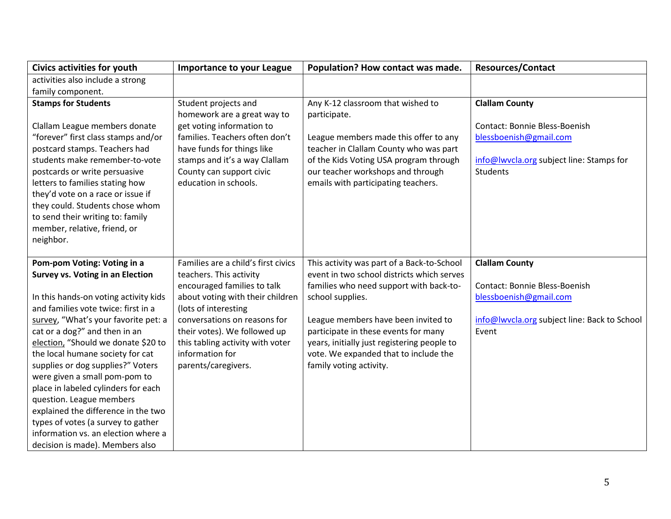| <b>Civics activities for youth</b>                                   | <b>Importance to your League</b>                                 | Population? How contact was made.                                                    | <b>Resources/Contact</b>                     |
|----------------------------------------------------------------------|------------------------------------------------------------------|--------------------------------------------------------------------------------------|----------------------------------------------|
| activities also include a strong                                     |                                                                  |                                                                                      |                                              |
| family component.                                                    |                                                                  |                                                                                      |                                              |
| <b>Stamps for Students</b>                                           | Student projects and                                             | Any K-12 classroom that wished to                                                    | <b>Clallam County</b>                        |
|                                                                      | homework are a great way to                                      | participate.                                                                         |                                              |
| Clallam League members donate                                        | get voting information to                                        |                                                                                      | <b>Contact: Bonnie Bless-Boenish</b>         |
| "forever" first class stamps and/or                                  | families. Teachers often don't                                   | League members made this offer to any                                                | blessboenish@gmail.com                       |
| postcard stamps. Teachers had                                        | have funds for things like                                       | teacher in Clallam County who was part                                               |                                              |
| students make remember-to-vote                                       | stamps and it's a way Clallam                                    | of the Kids Voting USA program through                                               | info@lwycla.org subject line: Stamps for     |
| postcards or write persuasive                                        | County can support civic                                         | our teacher workshops and through                                                    | <b>Students</b>                              |
| letters to families stating how                                      | education in schools.                                            | emails with participating teachers.                                                  |                                              |
| they'd vote on a race or issue if                                    |                                                                  |                                                                                      |                                              |
| they could. Students chose whom                                      |                                                                  |                                                                                      |                                              |
| to send their writing to: family                                     |                                                                  |                                                                                      |                                              |
| member, relative, friend, or                                         |                                                                  |                                                                                      |                                              |
| neighbor.                                                            |                                                                  |                                                                                      |                                              |
|                                                                      |                                                                  |                                                                                      |                                              |
| Pom-pom Voting: Voting in a                                          | Families are a child's first civics                              | This activity was part of a Back-to-School                                           | <b>Clallam County</b>                        |
| <b>Survey vs. Voting in an Election</b>                              | teachers. This activity                                          | event in two school districts which serves                                           |                                              |
|                                                                      | encouraged families to talk                                      | families who need support with back-to-                                              | Contact: Bonnie Bless-Boenish                |
| In this hands-on voting activity kids                                | about voting with their children                                 | school supplies.                                                                     | blessboenish@gmail.com                       |
| and families vote twice: first in a                                  | (lots of interesting                                             |                                                                                      |                                              |
| survey, "What's your favorite pet: a                                 | conversations on reasons for                                     | League members have been invited to                                                  | info@lwycla.org subject line: Back to School |
| cat or a dog?" and then in an<br>election, "Should we donate \$20 to | their votes). We followed up<br>this tabling activity with voter | participate in these events for many                                                 | Event                                        |
| the local humane society for cat                                     | information for                                                  | years, initially just registering people to<br>vote. We expanded that to include the |                                              |
| supplies or dog supplies?" Voters                                    | parents/caregivers.                                              | family voting activity.                                                              |                                              |
| were given a small pom-pom to                                        |                                                                  |                                                                                      |                                              |
| place in labeled cylinders for each                                  |                                                                  |                                                                                      |                                              |
| question. League members                                             |                                                                  |                                                                                      |                                              |
| explained the difference in the two                                  |                                                                  |                                                                                      |                                              |
| types of votes (a survey to gather                                   |                                                                  |                                                                                      |                                              |
| information vs. an election where a                                  |                                                                  |                                                                                      |                                              |
| decision is made). Members also                                      |                                                                  |                                                                                      |                                              |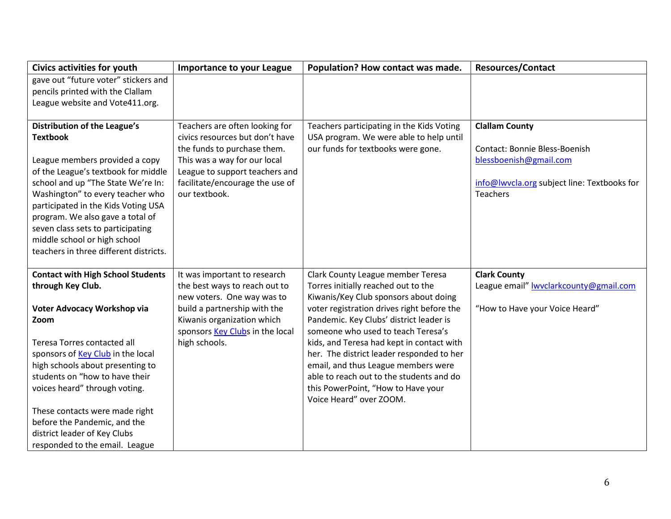| <b>Civics activities for youth</b>                                      | <b>Importance to your League</b> | Population? How contact was made.          | <b>Resources/Contact</b>                                       |
|-------------------------------------------------------------------------|----------------------------------|--------------------------------------------|----------------------------------------------------------------|
| gave out "future voter" stickers and                                    |                                  |                                            |                                                                |
| pencils printed with the Clallam                                        |                                  |                                            |                                                                |
| League website and Vote411.org.                                         |                                  |                                            |                                                                |
|                                                                         |                                  |                                            |                                                                |
| <b>Distribution of the League's</b>                                     | Teachers are often looking for   | Teachers participating in the Kids Voting  | <b>Clallam County</b>                                          |
| <b>Textbook</b>                                                         | civics resources but don't have  | USA program. We were able to help until    |                                                                |
|                                                                         | the funds to purchase them.      | our funds for textbooks were gone.         | Contact: Bonnie Bless-Boenish                                  |
| League members provided a copy                                          | This was a way for our local     |                                            | blessboenish@gmail.com                                         |
| of the League's textbook for middle                                     | League to support teachers and   |                                            |                                                                |
| school and up "The State We're In:                                      | facilitate/encourage the use of  |                                            | info@lwycla.org subject line: Textbooks for<br><b>Teachers</b> |
| Washington" to every teacher who                                        | our textbook.                    |                                            |                                                                |
| participated in the Kids Voting USA<br>program. We also gave a total of |                                  |                                            |                                                                |
| seven class sets to participating                                       |                                  |                                            |                                                                |
| middle school or high school                                            |                                  |                                            |                                                                |
| teachers in three different districts.                                  |                                  |                                            |                                                                |
|                                                                         |                                  |                                            |                                                                |
| <b>Contact with High School Students</b>                                | It was important to research     | Clark County League member Teresa          | <b>Clark County</b>                                            |
| through Key Club.                                                       | the best ways to reach out to    | Torres initially reached out to the        | League email" <b>Iwvclarkcounty@gmail.com</b>                  |
|                                                                         | new voters. One way was to       | Kiwanis/Key Club sponsors about doing      |                                                                |
| Voter Advocacy Workshop via                                             | build a partnership with the     | voter registration drives right before the | "How to Have your Voice Heard"                                 |
| Zoom                                                                    | Kiwanis organization which       | Pandemic. Key Clubs' district leader is    |                                                                |
|                                                                         | sponsors Key Clubs in the local  | someone who used to teach Teresa's         |                                                                |
| Teresa Torres contacted all                                             | high schools.                    | kids, and Teresa had kept in contact with  |                                                                |
| sponsors of Key Club in the local                                       |                                  | her. The district leader responded to her  |                                                                |
| high schools about presenting to                                        |                                  | email, and thus League members were        |                                                                |
| students on "how to have their                                          |                                  | able to reach out to the students and do   |                                                                |
| voices heard" through voting.                                           |                                  | this PowerPoint, "How to Have your         |                                                                |
|                                                                         |                                  | Voice Heard" over ZOOM.                    |                                                                |
| These contacts were made right                                          |                                  |                                            |                                                                |
| before the Pandemic, and the                                            |                                  |                                            |                                                                |
| district leader of Key Clubs                                            |                                  |                                            |                                                                |
| responded to the email. League                                          |                                  |                                            |                                                                |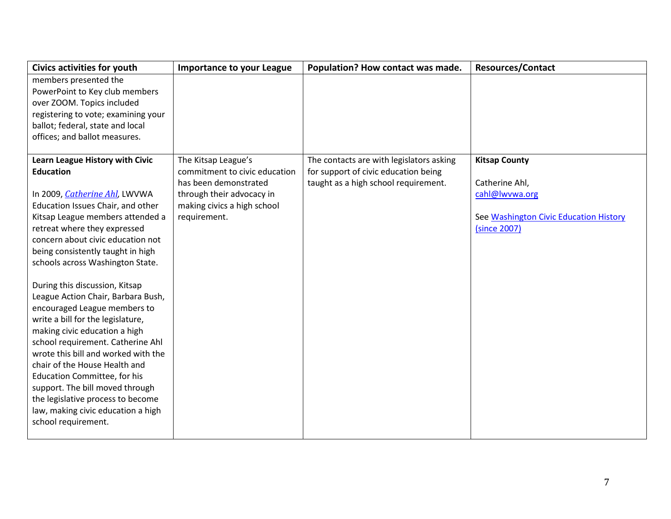| <b>Civics activities for youth</b>                                                                                                                                                                                                                                                                                                                                                                                                                                                                                                                                                                                                                                                                                                                                                 | <b>Importance to your League</b>                                                                                                                          | Population? How contact was made.                                                                                        | <b>Resources/Contact</b>                                                                                           |
|------------------------------------------------------------------------------------------------------------------------------------------------------------------------------------------------------------------------------------------------------------------------------------------------------------------------------------------------------------------------------------------------------------------------------------------------------------------------------------------------------------------------------------------------------------------------------------------------------------------------------------------------------------------------------------------------------------------------------------------------------------------------------------|-----------------------------------------------------------------------------------------------------------------------------------------------------------|--------------------------------------------------------------------------------------------------------------------------|--------------------------------------------------------------------------------------------------------------------|
| members presented the<br>PowerPoint to Key club members<br>over ZOOM. Topics included<br>registering to vote; examining your<br>ballot; federal, state and local<br>offices; and ballot measures.                                                                                                                                                                                                                                                                                                                                                                                                                                                                                                                                                                                  |                                                                                                                                                           |                                                                                                                          |                                                                                                                    |
| Learn League History with Civic<br><b>Education</b><br>In 2009, Catherine Ahl, LWVWA<br>Education Issues Chair, and other<br>Kitsap League members attended a<br>retreat where they expressed<br>concern about civic education not<br>being consistently taught in high<br>schools across Washington State.<br>During this discussion, Kitsap<br>League Action Chair, Barbara Bush,<br>encouraged League members to<br>write a bill for the legislature,<br>making civic education a high<br>school requirement. Catherine Ahl<br>wrote this bill and worked with the<br>chair of the House Health and<br><b>Education Committee, for his</b><br>support. The bill moved through<br>the legislative process to become<br>law, making civic education a high<br>school requirement. | The Kitsap League's<br>commitment to civic education<br>has been demonstrated<br>through their advocacy in<br>making civics a high school<br>requirement. | The contacts are with legislators asking<br>for support of civic education being<br>taught as a high school requirement. | <b>Kitsap County</b><br>Catherine Ahl,<br>cahl@lwvwa.org<br>See Washington Civic Education History<br>(since 2007) |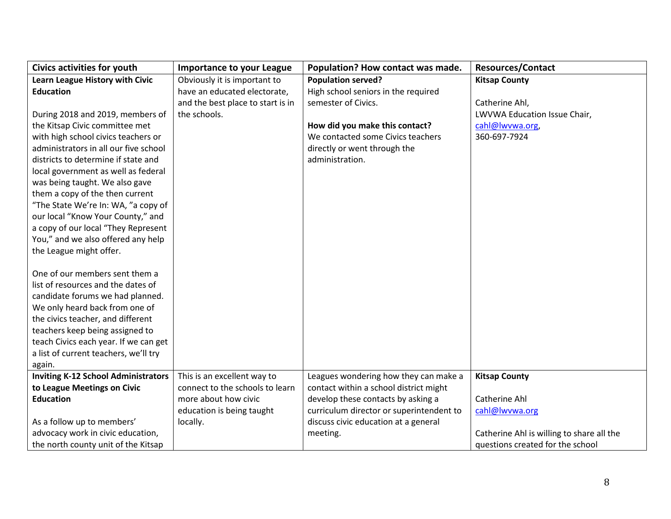| <b>Civics activities for youth</b>         | <b>Importance to your League</b>  | Population? How contact was made.        | <b>Resources/Contact</b>                  |
|--------------------------------------------|-----------------------------------|------------------------------------------|-------------------------------------------|
| Learn League History with Civic            | Obviously it is important to      | <b>Population served?</b>                | <b>Kitsap County</b>                      |
| <b>Education</b>                           | have an educated electorate,      | High school seniors in the required      |                                           |
|                                            | and the best place to start is in | semester of Civics.                      | Catherine Ahl,                            |
| During 2018 and 2019, members of           | the schools.                      |                                          | LWVWA Education Issue Chair,              |
| the Kitsap Civic committee met             |                                   | How did you make this contact?           | cahl@lwvwa.org,                           |
| with high school civics teachers or        |                                   | We contacted some Civics teachers        | 360-697-7924                              |
| administrators in all our five school      |                                   | directly or went through the             |                                           |
| districts to determine if state and        |                                   | administration.                          |                                           |
| local government as well as federal        |                                   |                                          |                                           |
| was being taught. We also gave             |                                   |                                          |                                           |
| them a copy of the then current            |                                   |                                          |                                           |
| "The State We're In: WA, "a copy of        |                                   |                                          |                                           |
| our local "Know Your County," and          |                                   |                                          |                                           |
| a copy of our local "They Represent        |                                   |                                          |                                           |
| You," and we also offered any help         |                                   |                                          |                                           |
| the League might offer.                    |                                   |                                          |                                           |
|                                            |                                   |                                          |                                           |
| One of our members sent them a             |                                   |                                          |                                           |
| list of resources and the dates of         |                                   |                                          |                                           |
| candidate forums we had planned.           |                                   |                                          |                                           |
| We only heard back from one of             |                                   |                                          |                                           |
| the civics teacher, and different          |                                   |                                          |                                           |
| teachers keep being assigned to            |                                   |                                          |                                           |
| teach Civics each year. If we can get      |                                   |                                          |                                           |
| a list of current teachers, we'll try      |                                   |                                          |                                           |
| again.                                     |                                   |                                          |                                           |
| <b>Inviting K-12 School Administrators</b> | This is an excellent way to       | Leagues wondering how they can make a    | <b>Kitsap County</b>                      |
| to League Meetings on Civic                | connect to the schools to learn   | contact within a school district might   |                                           |
| <b>Education</b>                           | more about how civic              | develop these contacts by asking a       | Catherine Ahl                             |
|                                            | education is being taught         | curriculum director or superintendent to | cahl@lwvwa.org                            |
| As a follow up to members'                 | locally.                          | discuss civic education at a general     |                                           |
| advocacy work in civic education,          |                                   | meeting.                                 | Catherine Ahl is willing to share all the |
| the north county unit of the Kitsap        |                                   |                                          | questions created for the school          |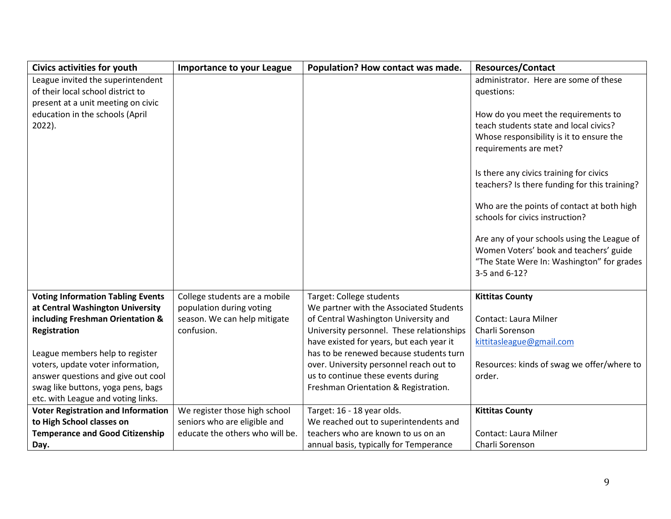| <b>Civics activities for youth</b>        | <b>Importance to your League</b> | Population? How contact was made.         | <b>Resources/Contact</b>                      |
|-------------------------------------------|----------------------------------|-------------------------------------------|-----------------------------------------------|
| League invited the superintendent         |                                  |                                           | administrator. Here are some of these         |
| of their local school district to         |                                  |                                           | questions:                                    |
| present at a unit meeting on civic        |                                  |                                           |                                               |
| education in the schools (April           |                                  |                                           | How do you meet the requirements to           |
| 2022).                                    |                                  |                                           | teach students state and local civics?        |
|                                           |                                  |                                           | Whose responsibility is it to ensure the      |
|                                           |                                  |                                           | requirements are met?                         |
|                                           |                                  |                                           |                                               |
|                                           |                                  |                                           | Is there any civics training for civics       |
|                                           |                                  |                                           | teachers? Is there funding for this training? |
|                                           |                                  |                                           | Who are the points of contact at both high    |
|                                           |                                  |                                           | schools for civics instruction?               |
|                                           |                                  |                                           |                                               |
|                                           |                                  |                                           | Are any of your schools using the League of   |
|                                           |                                  |                                           | Women Voters' book and teachers' guide        |
|                                           |                                  |                                           | "The State Were In: Washington" for grades    |
|                                           |                                  |                                           | 3-5 and 6-12?                                 |
|                                           |                                  |                                           |                                               |
| <b>Voting Information Tabling Events</b>  | College students are a mobile    | Target: College students                  | <b>Kittitas County</b>                        |
| at Central Washington University          | population during voting         | We partner with the Associated Students   |                                               |
| including Freshman Orientation &          | season. We can help mitigate     | of Central Washington University and      | Contact: Laura Milner                         |
| Registration                              | confusion.                       | University personnel. These relationships | Charli Sorenson                               |
|                                           |                                  | have existed for years, but each year it  | kittitasleague@gmail.com                      |
| League members help to register           |                                  | has to be renewed because students turn   |                                               |
| voters, update voter information,         |                                  | over. University personnel reach out to   | Resources: kinds of swag we offer/where to    |
| answer questions and give out cool        |                                  | us to continue these events during        | order.                                        |
| swag like buttons, yoga pens, bags        |                                  | Freshman Orientation & Registration.      |                                               |
| etc. with League and voting links.        |                                  |                                           |                                               |
| <b>Voter Registration and Information</b> | We register those high school    | Target: 16 - 18 year olds.                | <b>Kittitas County</b>                        |
| to High School classes on                 | seniors who are eligible and     | We reached out to superintendents and     |                                               |
| <b>Temperance and Good Citizenship</b>    | educate the others who will be.  | teachers who are known to us on an        | Contact: Laura Milner                         |
| Day.                                      |                                  | annual basis, typically for Temperance    | Charli Sorenson                               |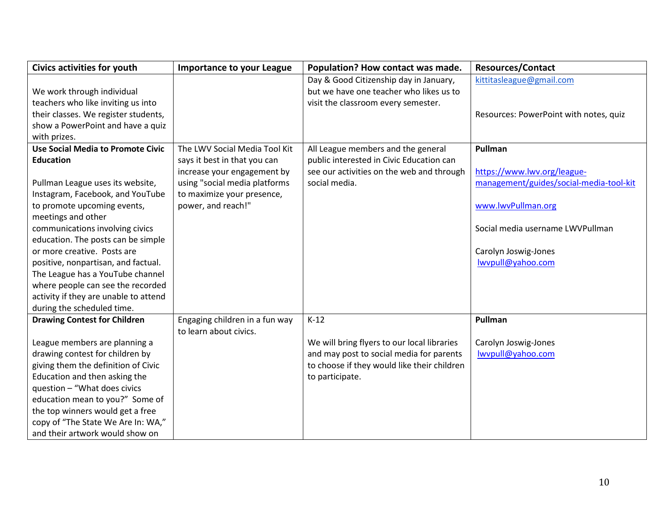| <b>Civics activities for youth</b>       | <b>Importance to your League</b> | Population? How contact was made.           | <b>Resources/Contact</b>                |
|------------------------------------------|----------------------------------|---------------------------------------------|-----------------------------------------|
|                                          |                                  | Day & Good Citizenship day in January,      | kittitasleague@gmail.com                |
| We work through individual               |                                  | but we have one teacher who likes us to     |                                         |
| teachers who like inviting us into       |                                  | visit the classroom every semester.         |                                         |
| their classes. We register students,     |                                  |                                             | Resources: PowerPoint with notes, quiz  |
| show a PowerPoint and have a quiz        |                                  |                                             |                                         |
| with prizes.                             |                                  |                                             |                                         |
| <b>Use Social Media to Promote Civic</b> | The LWV Social Media Tool Kit    | All League members and the general          | Pullman                                 |
| <b>Education</b>                         | says it best in that you can     | public interested in Civic Education can    |                                         |
|                                          | increase your engagement by      | see our activities on the web and through   | https://www.lwv.org/league-             |
| Pullman League uses its website,         | using "social media platforms    | social media.                               | management/guides/social-media-tool-kit |
| Instagram, Facebook, and YouTube         | to maximize your presence,       |                                             |                                         |
| to promote upcoming events,              | power, and reach!"               |                                             | www.lwvPullman.org                      |
| meetings and other                       |                                  |                                             |                                         |
| communications involving civics          |                                  |                                             | Social media username LWVPullman        |
| education. The posts can be simple       |                                  |                                             |                                         |
| or more creative. Posts are              |                                  |                                             | Carolyn Joswig-Jones                    |
| positive, nonpartisan, and factual.      |                                  |                                             | lwvpull@yahoo.com                       |
| The League has a YouTube channel         |                                  |                                             |                                         |
| where people can see the recorded        |                                  |                                             |                                         |
| activity if they are unable to attend    |                                  |                                             |                                         |
| during the scheduled time.               |                                  |                                             |                                         |
| <b>Drawing Contest for Children</b>      | Engaging children in a fun way   | $K-12$                                      | Pullman                                 |
|                                          | to learn about civics.           |                                             |                                         |
| League members are planning a            |                                  | We will bring flyers to our local libraries | Carolyn Joswig-Jones                    |
| drawing contest for children by          |                                  | and may post to social media for parents    | lwypull@yahoo.com                       |
| giving them the definition of Civic      |                                  | to choose if they would like their children |                                         |
| Education and then asking the            |                                  | to participate.                             |                                         |
| question - "What does civics             |                                  |                                             |                                         |
| education mean to you?" Some of          |                                  |                                             |                                         |
| the top winners would get a free         |                                  |                                             |                                         |
| copy of "The State We Are In: WA,"       |                                  |                                             |                                         |
| and their artwork would show on          |                                  |                                             |                                         |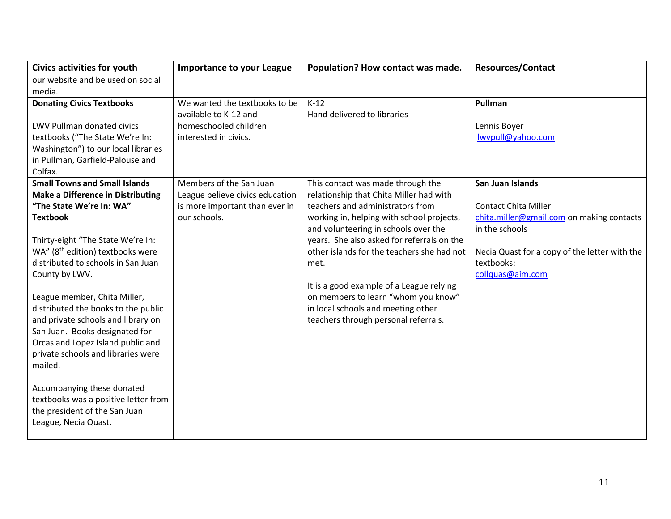| <b>Civics activities for youth</b>                                                | <b>Importance to your League</b> | Population? How contact was made.                                                        | <b>Resources/Contact</b>                                    |
|-----------------------------------------------------------------------------------|----------------------------------|------------------------------------------------------------------------------------------|-------------------------------------------------------------|
| our website and be used on social                                                 |                                  |                                                                                          |                                                             |
| media.                                                                            |                                  |                                                                                          |                                                             |
| <b>Donating Civics Textbooks</b>                                                  | We wanted the textbooks to be    | $K-12$                                                                                   | Pullman                                                     |
|                                                                                   | available to K-12 and            | Hand delivered to libraries                                                              |                                                             |
| LWV Pullman donated civics                                                        | homeschooled children            |                                                                                          | Lennis Boyer                                                |
| textbooks ("The State We're In:                                                   | interested in civics.            |                                                                                          | lwypull@yahoo.com                                           |
| Washington") to our local libraries                                               |                                  |                                                                                          |                                                             |
| in Pullman, Garfield-Palouse and                                                  |                                  |                                                                                          |                                                             |
| Colfax.                                                                           |                                  |                                                                                          |                                                             |
| <b>Small Towns and Small Islands</b>                                              | Members of the San Juan          | This contact was made through the                                                        | San Juan Islands                                            |
| <b>Make a Difference in Distributing</b>                                          | League believe civics education  | relationship that Chita Miller had with                                                  |                                                             |
| "The State We're In: WA"                                                          | is more important than ever in   | teachers and administrators from                                                         | <b>Contact Chita Miller</b>                                 |
| <b>Textbook</b>                                                                   | our schools.                     | working in, helping with school projects,                                                | chita.miller@gmail.com on making contacts                   |
|                                                                                   |                                  | and volunteering in schools over the                                                     | in the schools                                              |
| Thirty-eight "The State We're In:<br>WA" (8 <sup>th</sup> edition) textbooks were |                                  | years. She also asked for referrals on the<br>other islands for the teachers she had not |                                                             |
| distributed to schools in San Juan                                                |                                  |                                                                                          | Necia Quast for a copy of the letter with the<br>textbooks: |
| County by LWV.                                                                    |                                  | met.                                                                                     | collquas@aim.com                                            |
|                                                                                   |                                  | It is a good example of a League relying                                                 |                                                             |
| League member, Chita Miller,                                                      |                                  | on members to learn "whom you know"                                                      |                                                             |
| distributed the books to the public                                               |                                  | in local schools and meeting other                                                       |                                                             |
| and private schools and library on                                                |                                  | teachers through personal referrals.                                                     |                                                             |
| San Juan. Books designated for                                                    |                                  |                                                                                          |                                                             |
| Orcas and Lopez Island public and                                                 |                                  |                                                                                          |                                                             |
| private schools and libraries were                                                |                                  |                                                                                          |                                                             |
| mailed.                                                                           |                                  |                                                                                          |                                                             |
|                                                                                   |                                  |                                                                                          |                                                             |
| Accompanying these donated                                                        |                                  |                                                                                          |                                                             |
| textbooks was a positive letter from                                              |                                  |                                                                                          |                                                             |
| the president of the San Juan                                                     |                                  |                                                                                          |                                                             |
| League, Necia Quast.                                                              |                                  |                                                                                          |                                                             |
|                                                                                   |                                  |                                                                                          |                                                             |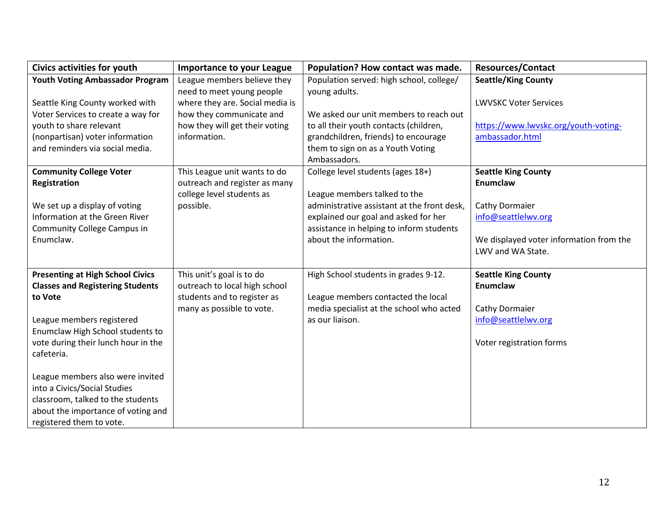| <b>Civics activities for youth</b>      | <b>Importance to your League</b> | Population? How contact was made.           | <b>Resources/Contact</b>                |
|-----------------------------------------|----------------------------------|---------------------------------------------|-----------------------------------------|
| <b>Youth Voting Ambassador Program</b>  | League members believe they      | Population served: high school, college/    | <b>Seattle/King County</b>              |
|                                         | need to meet young people        | young adults.                               |                                         |
| Seattle King County worked with         | where they are. Social media is  |                                             | <b>LWVSKC Voter Services</b>            |
| Voter Services to create a way for      | how they communicate and         | We asked our unit members to reach out      |                                         |
| youth to share relevant                 | how they will get their voting   | to all their youth contacts (children,      | https://www.lwvskc.org/youth-voting-    |
| (nonpartisan) voter information         | information.                     | grandchildren, friends) to encourage        | ambassador.html                         |
| and reminders via social media.         |                                  | them to sign on as a Youth Voting           |                                         |
|                                         |                                  | Ambassadors.                                |                                         |
| <b>Community College Voter</b>          | This League unit wants to do     | College level students (ages 18+)           | <b>Seattle King County</b>              |
| Registration                            | outreach and register as many    |                                             | <b>Enumclaw</b>                         |
|                                         | college level students as        | League members talked to the                |                                         |
| We set up a display of voting           | possible.                        | administrative assistant at the front desk, | Cathy Dormaier                          |
| Information at the Green River          |                                  | explained our goal and asked for her        | info@seattlelwv.org                     |
| Community College Campus in             |                                  | assistance in helping to inform students    |                                         |
| Enumclaw.                               |                                  | about the information.                      | We displayed voter information from the |
|                                         |                                  |                                             | LWV and WA State.                       |
|                                         |                                  |                                             |                                         |
| <b>Presenting at High School Civics</b> | This unit's goal is to do        | High School students in grades 9-12.        | <b>Seattle King County</b>              |
| <b>Classes and Registering Students</b> | outreach to local high school    |                                             | <b>Enumclaw</b>                         |
| to Vote                                 | students and to register as      | League members contacted the local          |                                         |
|                                         | many as possible to vote.        | media specialist at the school who acted    | Cathy Dormaier                          |
| League members registered               |                                  | as our liaison.                             | info@seattlelwv.org                     |
| Enumclaw High School students to        |                                  |                                             |                                         |
| vote during their lunch hour in the     |                                  |                                             | Voter registration forms                |
| cafeteria.                              |                                  |                                             |                                         |
|                                         |                                  |                                             |                                         |
| League members also were invited        |                                  |                                             |                                         |
| into a Civics/Social Studies            |                                  |                                             |                                         |
| classroom, talked to the students       |                                  |                                             |                                         |
| about the importance of voting and      |                                  |                                             |                                         |
| registered them to vote.                |                                  |                                             |                                         |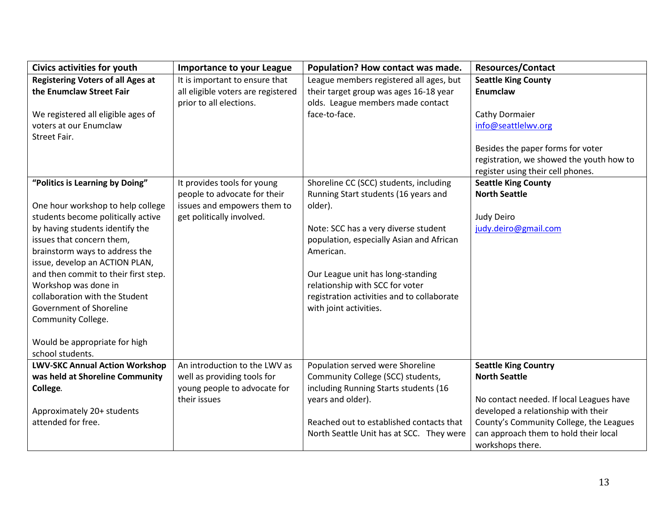| <b>Civics activities for youth</b>                | <b>Importance to your League</b>   | Population? How contact was made.          | <b>Resources/Contact</b>                 |
|---------------------------------------------------|------------------------------------|--------------------------------------------|------------------------------------------|
| <b>Registering Voters of all Ages at</b>          | It is important to ensure that     | League members registered all ages, but    | <b>Seattle King County</b>               |
| the Enumclaw Street Fair                          | all eligible voters are registered | their target group was ages 16-18 year     | Enumclaw                                 |
|                                                   | prior to all elections.            | olds. League members made contact          |                                          |
| We registered all eligible ages of                |                                    | face-to-face.                              | Cathy Dormaier                           |
| voters at our Enumclaw                            |                                    |                                            | info@seattlelwv.org                      |
| Street Fair.                                      |                                    |                                            |                                          |
|                                                   |                                    |                                            | Besides the paper forms for voter        |
|                                                   |                                    |                                            | registration, we showed the youth how to |
|                                                   |                                    |                                            | register using their cell phones.        |
| "Politics is Learning by Doing"                   | It provides tools for young        | Shoreline CC (SCC) students, including     | <b>Seattle King County</b>               |
|                                                   | people to advocate for their       | Running Start students (16 years and       | <b>North Seattle</b>                     |
| One hour workshop to help college                 | issues and empowers them to        | older).                                    |                                          |
| students become politically active                | get politically involved.          |                                            | Judy Deiro                               |
| by having students identify the                   |                                    | Note: SCC has a very diverse student       | judy.deiro@gmail.com                     |
| issues that concern them,                         |                                    | population, especially Asian and African   |                                          |
| brainstorm ways to address the                    |                                    | American.                                  |                                          |
| issue, develop an ACTION PLAN,                    |                                    |                                            |                                          |
| and then commit to their first step.              |                                    | Our League unit has long-standing          |                                          |
| Workshop was done in                              |                                    | relationship with SCC for voter            |                                          |
| collaboration with the Student                    |                                    | registration activities and to collaborate |                                          |
| Government of Shoreline                           |                                    | with joint activities.                     |                                          |
| Community College.                                |                                    |                                            |                                          |
|                                                   |                                    |                                            |                                          |
| Would be appropriate for high<br>school students. |                                    |                                            |                                          |
| <b>LWV-SKC Annual Action Workshop</b>             | An introduction to the LWV as      | Population served were Shoreline           | <b>Seattle King Country</b>              |
| was held at Shoreline Community                   | well as providing tools for        | Community College (SCC) students,          | <b>North Seattle</b>                     |
| College.                                          | young people to advocate for       | including Running Starts students (16      |                                          |
|                                                   | their issues                       | years and older).                          | No contact needed. If local Leagues have |
| Approximately 20+ students                        |                                    |                                            | developed a relationship with their      |
| attended for free.                                |                                    | Reached out to established contacts that   | County's Community College, the Leagues  |
|                                                   |                                    | North Seattle Unit has at SCC. They were   | can approach them to hold their local    |
|                                                   |                                    |                                            | workshops there.                         |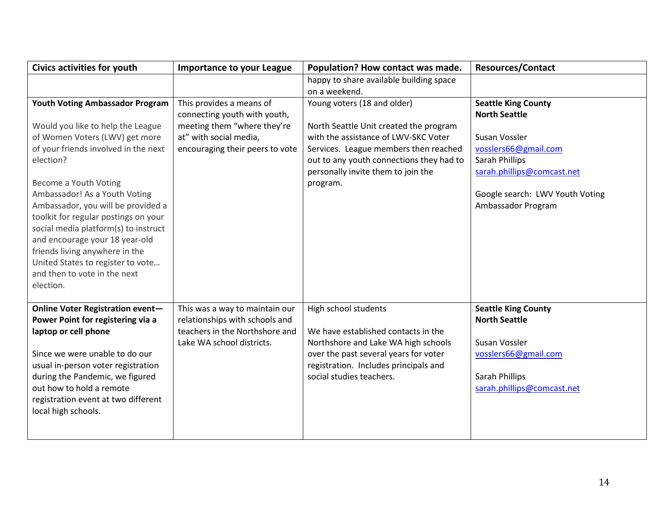| <b>Civics activities for youth</b>                                                                                                                                                                                                                                                                 | <b>Importance to your League</b>                                                                                                | Population? How contact was made.                                                                                                                                                                                | <b>Resources/Contact</b>                                                                                                                    |
|----------------------------------------------------------------------------------------------------------------------------------------------------------------------------------------------------------------------------------------------------------------------------------------------------|---------------------------------------------------------------------------------------------------------------------------------|------------------------------------------------------------------------------------------------------------------------------------------------------------------------------------------------------------------|---------------------------------------------------------------------------------------------------------------------------------------------|
|                                                                                                                                                                                                                                                                                                    |                                                                                                                                 | happy to share available building space                                                                                                                                                                          |                                                                                                                                             |
|                                                                                                                                                                                                                                                                                                    |                                                                                                                                 | on a weekend.                                                                                                                                                                                                    |                                                                                                                                             |
| <b>Youth Voting Ambassador Program</b>                                                                                                                                                                                                                                                             | This provides a means of                                                                                                        | Young voters (18 and older)                                                                                                                                                                                      | <b>Seattle King County</b>                                                                                                                  |
|                                                                                                                                                                                                                                                                                                    | connecting youth with youth,                                                                                                    |                                                                                                                                                                                                                  | <b>North Seattle</b>                                                                                                                        |
| Would you like to help the League                                                                                                                                                                                                                                                                  | meeting them "where they're                                                                                                     | North Seattle Unit created the program                                                                                                                                                                           |                                                                                                                                             |
| of Women Voters (LWV) get more                                                                                                                                                                                                                                                                     | at" with social media,                                                                                                          | with the assistance of LWV-SKC Voter                                                                                                                                                                             | Susan Vossler                                                                                                                               |
| of your friends involved in the next                                                                                                                                                                                                                                                               | encouraging their peers to vote                                                                                                 | Services. League members then reached                                                                                                                                                                            | vosslers66@gmail.com                                                                                                                        |
| election?                                                                                                                                                                                                                                                                                          |                                                                                                                                 | out to any youth connections they had to                                                                                                                                                                         | Sarah Phillips                                                                                                                              |
|                                                                                                                                                                                                                                                                                                    |                                                                                                                                 | personally invite them to join the                                                                                                                                                                               | sarah.phillips@comcast.net                                                                                                                  |
| Become a Youth Voting                                                                                                                                                                                                                                                                              |                                                                                                                                 | program.                                                                                                                                                                                                         |                                                                                                                                             |
| Ambassador! As a Youth Voting                                                                                                                                                                                                                                                                      |                                                                                                                                 |                                                                                                                                                                                                                  | Google search: LWV Youth Voting                                                                                                             |
| Ambassador, you will be provided a                                                                                                                                                                                                                                                                 |                                                                                                                                 |                                                                                                                                                                                                                  | Ambassador Program                                                                                                                          |
| toolkit for regular postings on your                                                                                                                                                                                                                                                               |                                                                                                                                 |                                                                                                                                                                                                                  |                                                                                                                                             |
| social media platform(s) to instruct                                                                                                                                                                                                                                                               |                                                                                                                                 |                                                                                                                                                                                                                  |                                                                                                                                             |
| and encourage your 18 year-old                                                                                                                                                                                                                                                                     |                                                                                                                                 |                                                                                                                                                                                                                  |                                                                                                                                             |
| friends living anywhere in the                                                                                                                                                                                                                                                                     |                                                                                                                                 |                                                                                                                                                                                                                  |                                                                                                                                             |
| United States to register to vote                                                                                                                                                                                                                                                                  |                                                                                                                                 |                                                                                                                                                                                                                  |                                                                                                                                             |
| and then to vote in the next                                                                                                                                                                                                                                                                       |                                                                                                                                 |                                                                                                                                                                                                                  |                                                                                                                                             |
| election.                                                                                                                                                                                                                                                                                          |                                                                                                                                 |                                                                                                                                                                                                                  |                                                                                                                                             |
|                                                                                                                                                                                                                                                                                                    |                                                                                                                                 |                                                                                                                                                                                                                  |                                                                                                                                             |
|                                                                                                                                                                                                                                                                                                    |                                                                                                                                 |                                                                                                                                                                                                                  |                                                                                                                                             |
|                                                                                                                                                                                                                                                                                                    |                                                                                                                                 |                                                                                                                                                                                                                  |                                                                                                                                             |
|                                                                                                                                                                                                                                                                                                    |                                                                                                                                 |                                                                                                                                                                                                                  |                                                                                                                                             |
|                                                                                                                                                                                                                                                                                                    |                                                                                                                                 |                                                                                                                                                                                                                  |                                                                                                                                             |
|                                                                                                                                                                                                                                                                                                    |                                                                                                                                 |                                                                                                                                                                                                                  |                                                                                                                                             |
|                                                                                                                                                                                                                                                                                                    |                                                                                                                                 |                                                                                                                                                                                                                  |                                                                                                                                             |
|                                                                                                                                                                                                                                                                                                    |                                                                                                                                 |                                                                                                                                                                                                                  |                                                                                                                                             |
|                                                                                                                                                                                                                                                                                                    |                                                                                                                                 |                                                                                                                                                                                                                  |                                                                                                                                             |
|                                                                                                                                                                                                                                                                                                    |                                                                                                                                 |                                                                                                                                                                                                                  |                                                                                                                                             |
|                                                                                                                                                                                                                                                                                                    |                                                                                                                                 |                                                                                                                                                                                                                  |                                                                                                                                             |
|                                                                                                                                                                                                                                                                                                    |                                                                                                                                 |                                                                                                                                                                                                                  |                                                                                                                                             |
| Online Voter Registration event-<br>Power Point for registering via a<br>laptop or cell phone<br>Since we were unable to do our<br>usual in-person voter registration<br>during the Pandemic, we figured<br>out how to hold a remote<br>registration event at two different<br>local high schools. | This was a way to maintain our<br>relationships with schools and<br>teachers in the Northshore and<br>Lake WA school districts. | High school students<br>We have established contacts in the<br>Northshore and Lake WA high schools<br>over the past several years for voter<br>registration. Includes principals and<br>social studies teachers. | <b>Seattle King County</b><br><b>North Seattle</b><br>Susan Vossler<br>vosslers66@gmail.com<br>Sarah Phillips<br>sarah.phillips@comcast.net |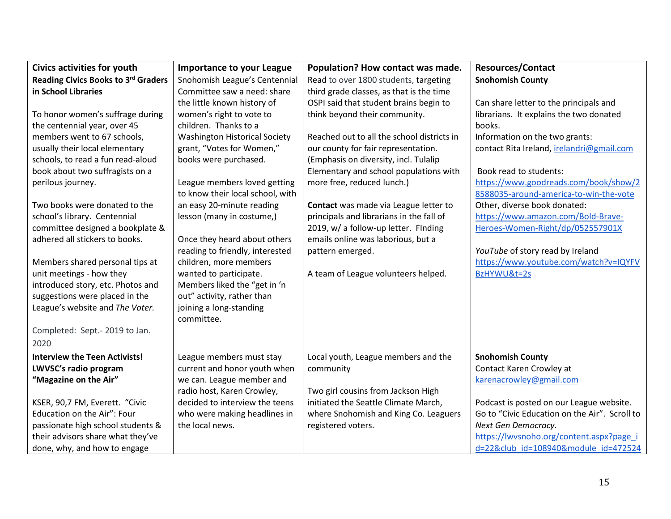| Civics activities for youth          | <b>Importance to your League</b>     | Population? How contact was made.          | <b>Resources/Contact</b>                      |
|--------------------------------------|--------------------------------------|--------------------------------------------|-----------------------------------------------|
| Reading Civics Books to 3rd Graders  | Snohomish League's Centennial        | Read to over 1800 students, targeting      | <b>Snohomish County</b>                       |
| in School Libraries                  | Committee saw a need: share          | third grade classes, as that is the time   |                                               |
|                                      | the little known history of          | OSPI said that student brains begin to     | Can share letter to the principals and        |
| To honor women's suffrage during     | women's right to vote to             | think beyond their community.              | librarians. It explains the two donated       |
| the centennial year, over 45         | children. Thanks to a                |                                            | books.                                        |
| members went to 67 schools,          | <b>Washington Historical Society</b> | Reached out to all the school districts in | Information on the two grants:                |
| usually their local elementary       | grant, "Votes for Women,"            | our county for fair representation.        | contact Rita Ireland, irelandri@gmail.com     |
| schools, to read a fun read-aloud    | books were purchased.                | (Emphasis on diversity, incl. Tulalip      |                                               |
| book about two suffragists on a      |                                      | Elementary and school populations with     | Book read to students:                        |
| perilous journey.                    | League members loved getting         | more free, reduced lunch.)                 | https://www.goodreads.com/book/show/2         |
|                                      | to know their local school, with     |                                            | 8588035-around-america-to-win-the-vote        |
| Two books were donated to the        | an easy 20-minute reading            | Contact was made via League letter to      | Other, diverse book donated:                  |
| school's library. Centennial         | lesson (many in costume,)            | principals and librarians in the fall of   | https://www.amazon.com/Bold-Brave-            |
| committee designed a bookplate &     |                                      | 2019, w/ a follow-up letter. Finding       | Heroes-Women-Right/dp/052557901X              |
| adhered all stickers to books.       | Once they heard about others         | emails online was laborious, but a         |                                               |
|                                      | reading to friendly, interested      | pattern emerged.                           | YouTube of story read by Ireland              |
| Members shared personal tips at      | children, more members               |                                            | https://www.youtube.com/watch?v=IQYFV         |
| unit meetings - how they             | wanted to participate.               | A team of League volunteers helped.        | BzHYWU&t=2s                                   |
| introduced story, etc. Photos and    | Members liked the "get in 'n         |                                            |                                               |
| suggestions were placed in the       | out" activity, rather than           |                                            |                                               |
| League's website and The Voter.      | joining a long-standing              |                                            |                                               |
|                                      | committee.                           |                                            |                                               |
| Completed: Sept.-2019 to Jan.        |                                      |                                            |                                               |
| 2020                                 |                                      |                                            |                                               |
| <b>Interview the Teen Activists!</b> | League members must stay             | Local youth, League members and the        | <b>Snohomish County</b>                       |
| LWVSC's radio program                | current and honor youth when         | community                                  | Contact Karen Crowley at                      |
| "Magazine on the Air"                | we can. League member and            |                                            | karenacrowley@gmail.com                       |
|                                      | radio host, Karen Crowley,           | Two girl cousins from Jackson High         |                                               |
| KSER, 90,7 FM, Everett. "Civic       | decided to interview the teens       | initiated the Seattle Climate March,       | Podcast is posted on our League website.      |
| Education on the Air": Four          | who were making headlines in         | where Snohomish and King Co. Leaguers      | Go to "Civic Education on the Air". Scroll to |
| passionate high school students &    | the local news.                      | registered voters.                         | Next Gen Democracy.                           |
| their advisors share what they've    |                                      |                                            | https://lwvsnoho.org/content.aspx?page i      |
| done, why, and how to engage         |                                      |                                            | d=22&club id=108940&module id=472524          |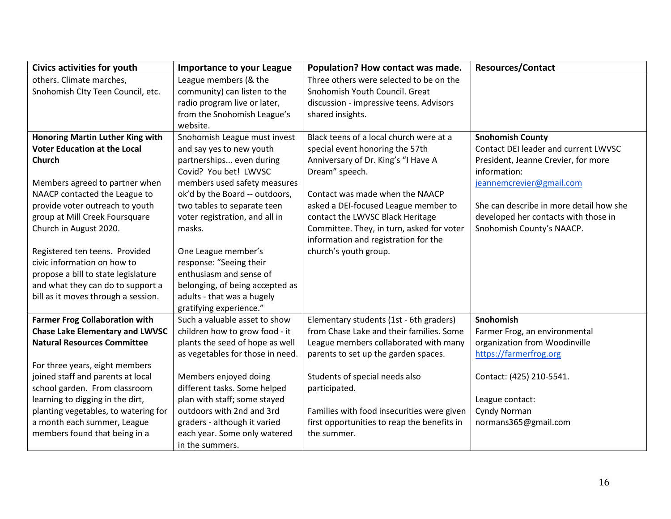| Civics activities for youth             | <b>Importance to your League</b> | Population? How contact was made.           | <b>Resources/Contact</b>                |
|-----------------------------------------|----------------------------------|---------------------------------------------|-----------------------------------------|
| others. Climate marches,                | League members (& the            | Three others were selected to be on the     |                                         |
| Snohomish Clty Teen Council, etc.       | community) can listen to the     | Snohomish Youth Council. Great              |                                         |
|                                         | radio program live or later,     | discussion - impressive teens. Advisors     |                                         |
|                                         | from the Snohomish League's      | shared insights.                            |                                         |
|                                         | website.                         |                                             |                                         |
| <b>Honoring Martin Luther King with</b> | Snohomish League must invest     | Black teens of a local church were at a     | <b>Snohomish County</b>                 |
| <b>Voter Education at the Local</b>     | and say yes to new youth         | special event honoring the 57th             | Contact DEI leader and current LWVSC    |
| Church                                  | partnerships even during         | Anniversary of Dr. King's "I Have A         | President, Jeanne Crevier, for more     |
|                                         | Covid? You bet! LWVSC            | Dream" speech.                              | information:                            |
| Members agreed to partner when          | members used safety measures     |                                             | jeannemcrevier@gmail.com                |
| NAACP contacted the League to           | ok'd by the Board -- outdoors,   | Contact was made when the NAACP             |                                         |
| provide voter outreach to youth         | two tables to separate teen      | asked a DEI-focused League member to        | She can describe in more detail how she |
| group at Mill Creek Foursquare          | voter registration, and all in   | contact the LWVSC Black Heritage            | developed her contacts with those in    |
| Church in August 2020.                  | masks.                           | Committee. They, in turn, asked for voter   | Snohomish County's NAACP.               |
|                                         |                                  | information and registration for the        |                                         |
| Registered ten teens. Provided          | One League member's              | church's youth group.                       |                                         |
| civic information on how to             | response: "Seeing their          |                                             |                                         |
| propose a bill to state legislature     | enthusiasm and sense of          |                                             |                                         |
| and what they can do to support a       | belonging, of being accepted as  |                                             |                                         |
| bill as it moves through a session.     | adults - that was a hugely       |                                             |                                         |
|                                         | gratifying experience."          |                                             |                                         |
| <b>Farmer Frog Collaboration with</b>   | Such a valuable asset to show    | Elementary students (1st - 6th graders)     | Snohomish                               |
| <b>Chase Lake Elementary and LWVSC</b>  | children how to grow food - it   | from Chase Lake and their families. Some    | Farmer Frog, an environmental           |
| <b>Natural Resources Committee</b>      | plants the seed of hope as well  | League members collaborated with many       | organization from Woodinville           |
|                                         | as vegetables for those in need. | parents to set up the garden spaces.        | https://farmerfrog.org                  |
| For three years, eight members          |                                  |                                             |                                         |
| joined staff and parents at local       | Members enjoyed doing            | Students of special needs also              | Contact: (425) 210-5541.                |
| school garden. From classroom           | different tasks. Some helped     | participated.                               |                                         |
| learning to digging in the dirt,        | plan with staff; some stayed     |                                             | League contact:                         |
| planting vegetables, to watering for    | outdoors with 2nd and 3rd        | Families with food insecurities were given  | Cyndy Norman                            |
| a month each summer, League             | graders - although it varied     | first opportunities to reap the benefits in | normans365@gmail.com                    |
| members found that being in a           | each year. Some only watered     | the summer.                                 |                                         |
|                                         | in the summers.                  |                                             |                                         |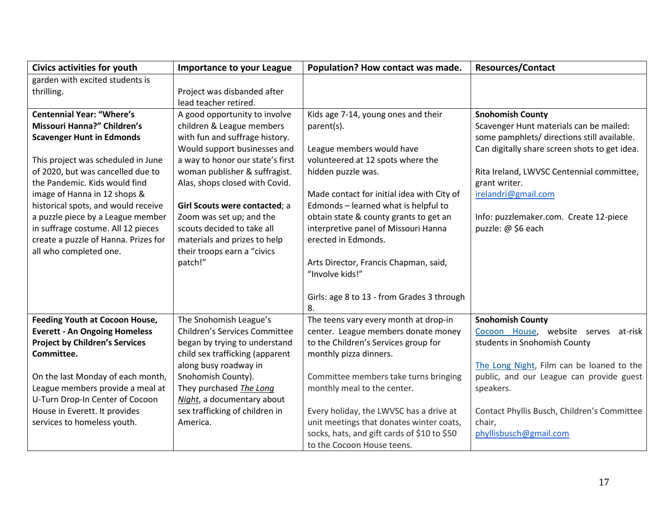| <b>Civics activities for youth</b>                  | <b>Importance to your League</b>                                 | Population? How contact was made.                              | <b>Resources/Contact</b>                      |
|-----------------------------------------------------|------------------------------------------------------------------|----------------------------------------------------------------|-----------------------------------------------|
| garden with excited students is                     |                                                                  |                                                                |                                               |
| thrilling.                                          | Project was disbanded after                                      |                                                                |                                               |
|                                                     | lead teacher retired.                                            |                                                                |                                               |
| <b>Centennial Year: "Where's</b>                    | A good opportunity to involve                                    | Kids age 7-14, young ones and their                            | <b>Snohomish County</b>                       |
| Missouri Hanna?" Children's                         | children & League members                                        | parent(s).                                                     | Scavenger Hunt materials can be mailed:       |
| <b>Scavenger Hunt in Edmonds</b>                    | with fun and suffrage history.                                   |                                                                | some pamphlets/ directions still available.   |
|                                                     | Would support businesses and                                     | League members would have                                      | Can digitally share screen shots to get idea. |
| This project was scheduled in June                  | a way to honor our state's first                                 | volunteered at 12 spots where the                              |                                               |
| of 2020, but was cancelled due to                   | woman publisher & suffragist.                                    | hidden puzzle was.                                             | Rita Ireland, LWVSC Centennial committee,     |
| the Pandemic. Kids would find                       | Alas, shops closed with Covid.                                   |                                                                | grant writer.                                 |
| image of Hanna in 12 shops &                        |                                                                  | Made contact for initial idea with City of                     | irelandri@gmail.com                           |
| historical spots, and would receive                 | Girl Scouts were contacted; a                                    | Edmonds - learned what is helpful to                           |                                               |
| a puzzle piece by a League member                   | Zoom was set up; and the                                         | obtain state & county grants to get an                         | Info: puzzlemaker.com. Create 12-piece        |
| in suffrage costume. All 12 pieces                  | scouts decided to take all                                       | interpretive panel of Missouri Hanna                           | puzzle: @ \$6 each                            |
| create a puzzle of Hanna. Prizes for                | materials and prizes to help                                     | erected in Edmonds.                                            |                                               |
| all who completed one.                              | their troops earn a "civics                                      |                                                                |                                               |
|                                                     | patch!"                                                          | Arts Director, Francis Chapman, said,                          |                                               |
|                                                     |                                                                  | "Involve kids!"                                                |                                               |
|                                                     |                                                                  |                                                                |                                               |
|                                                     |                                                                  | Girls: age 8 to 13 - from Grades 3 through                     |                                               |
|                                                     |                                                                  | 8.                                                             |                                               |
| <b>Feeding Youth at Cocoon House,</b>               | The Snohomish League's<br><b>Children's Services Committee</b>   | The teens vary every month at drop-in                          | <b>Snohomish County</b>                       |
| <b>Everett - An Ongoing Homeless</b>                |                                                                  | center. League members donate money                            | Cocoon House, website serves at-risk          |
| <b>Project by Children's Services</b><br>Committee. | began by trying to understand<br>child sex trafficking (apparent | to the Children's Services group for<br>monthly pizza dinners. | students in Snohomish County                  |
|                                                     | along busy roadway in                                            |                                                                | The Long Night, Film can be loaned to the     |
| On the last Monday of each month,                   | Snohomish County).                                               | Committee members take turns bringing                          | public, and our League can provide guest      |
| League members provide a meal at                    | They purchased The Long                                          | monthly meal to the center.                                    | speakers.                                     |
| U-Turn Drop-In Center of Cocoon                     | Night, a documentary about                                       |                                                                |                                               |
| House in Everett. It provides                       | sex trafficking of children in                                   | Every holiday, the LWVSC has a drive at                        | Contact Phyllis Busch, Children's Committee   |
| services to homeless youth.                         | America.                                                         | unit meetings that donates winter coats,                       | chair,                                        |
|                                                     |                                                                  | socks, hats, and gift cards of \$10 to \$50                    | phyllisbusch@gmail.com                        |
|                                                     |                                                                  | to the Cocoon House teens.                                     |                                               |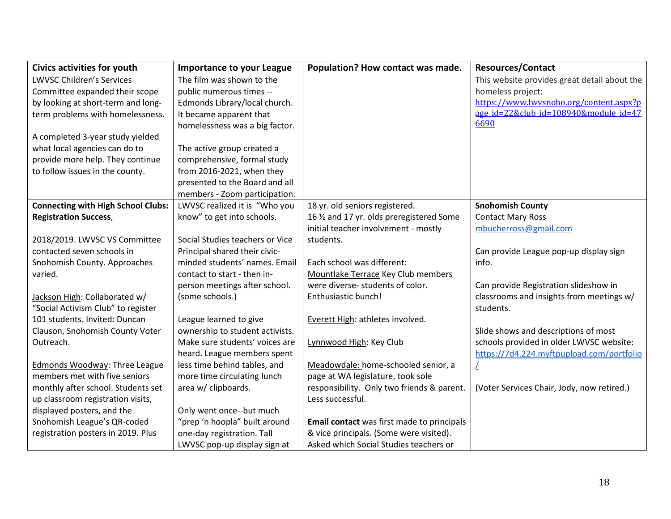| <b>Civics activities for youth</b>        | <b>Importance to your League</b> | Population? How contact was made.          | <b>Resources/Contact</b>                     |
|-------------------------------------------|----------------------------------|--------------------------------------------|----------------------------------------------|
| <b>LWVSC Children's Services</b>          | The film was shown to the        |                                            | This website provides great detail about the |
| Committee expanded their scope            | public numerous times --         |                                            | homeless project:                            |
| by looking at short-term and long-        | Edmonds Library/local church.    |                                            | https://www.lwysnoho.org/content.aspx?p      |
| term problems with homelessness.          | It became apparent that          |                                            | age id=22&club_id=108940&module_id=47        |
|                                           | homelessness was a big factor.   |                                            | 6690                                         |
| A completed 3-year study yielded          |                                  |                                            |                                              |
| what local agencies can do to             | The active group created a       |                                            |                                              |
| provide more help. They continue          | comprehensive, formal study      |                                            |                                              |
| to follow issues in the county.           | from 2016-2021, when they        |                                            |                                              |
|                                           | presented to the Board and all   |                                            |                                              |
|                                           | members - Zoom participation.    |                                            |                                              |
| <b>Connecting with High School Clubs:</b> | LWVSC realized it is "Who you    | 18 yr. old seniors registered.             | <b>Snohomish County</b>                      |
| <b>Registration Success,</b>              | know" to get into schools.       | 16 1/2 and 17 yr. olds preregistered Some  | <b>Contact Mary Ross</b>                     |
|                                           |                                  | initial teacher involvement - mostly       | mbucherross@gmail.com                        |
| 2018/2019. LWVSC VS Committee             | Social Studies teachers or Vice  | students.                                  |                                              |
| contacted seven schools in                | Principal shared their civic-    |                                            | Can provide League pop-up display sign       |
| Snohomish County. Approaches              | minded students' names. Email    | Each school was different:                 | info.                                        |
| varied.                                   | contact to start - then in-      | Mountlake Terrace Key Club members         |                                              |
|                                           | person meetings after school.    | were diverse-students of color.            | Can provide Registration slideshow in        |
| Jackson High: Collaborated w/             | (some schools.)                  | Enthusiastic bunch!                        | classrooms and insights from meetings w/     |
| "Social Activism Club" to register        |                                  |                                            | students.                                    |
| 101 students. Invited: Duncan             | League learned to give           | Everett High: athletes involved.           |                                              |
| Clauson, Snohomish County Voter           | ownership to student activists.  |                                            | Slide shows and descriptions of most         |
| Outreach.                                 | Make sure students' voices are   | Lynnwood High: Key Club                    | schools provided in older LWVSC website:     |
|                                           | heard. League members spent      |                                            | https://7d4.224.myftpupload.com/portfolio    |
| <b>Edmonds Woodway: Three League</b>      | less time behind tables, and     | Meadowdale: home-schooled senior, a        |                                              |
| members met with five seniors             | more time circulating lunch      | page at WA legislature, took sole          |                                              |
| monthly after school. Students set        | area w/ clipboards.              | responsibility. Only two friends & parent. | (Voter Services Chair, Jody, now retired.)   |
| up classroom registration visits,         |                                  | Less successful.                           |                                              |
| displayed posters, and the                | Only went once--but much         |                                            |                                              |
| Snohomish League's QR-coded               | "prep 'n hoopla" built around    | Email contact was first made to principals |                                              |
| registration posters in 2019. Plus        | one-day registration. Tall       | & vice principals. (Some were visited).    |                                              |
|                                           | LWVSC pop-up display sign at     | Asked which Social Studies teachers or     |                                              |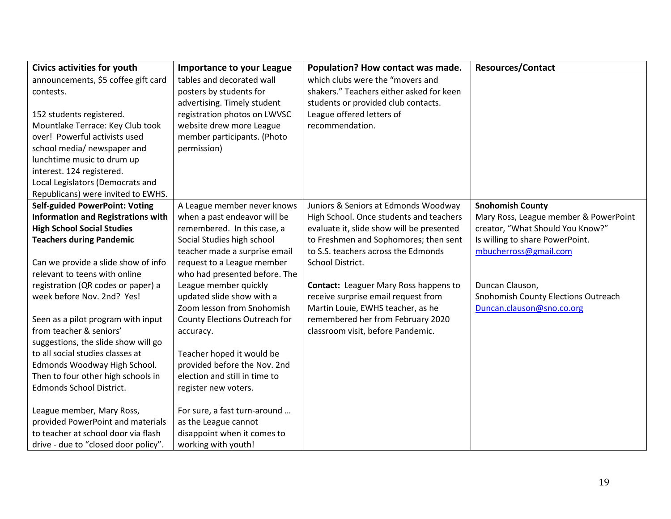| <b>Civics activities for youth</b>        | <b>Importance to your League</b> | Population? How contact was made.            | <b>Resources/Contact</b>              |
|-------------------------------------------|----------------------------------|----------------------------------------------|---------------------------------------|
| announcements, \$5 coffee gift card       | tables and decorated wall        | which clubs were the "movers and             |                                       |
| contests.                                 | posters by students for          | shakers." Teachers either asked for keen     |                                       |
|                                           | advertising. Timely student      | students or provided club contacts.          |                                       |
| 152 students registered.                  | registration photos on LWVSC     | League offered letters of                    |                                       |
| Mountlake Terrace: Key Club took          | website drew more League         | recommendation.                              |                                       |
| over! Powerful activists used             | member participants. (Photo      |                                              |                                       |
| school media/ newspaper and               | permission)                      |                                              |                                       |
| lunchtime music to drum up                |                                  |                                              |                                       |
| interest. 124 registered.                 |                                  |                                              |                                       |
| Local Legislators (Democrats and          |                                  |                                              |                                       |
| Republicans) were invited to EWHS.        |                                  |                                              |                                       |
| <b>Self-guided PowerPoint: Voting</b>     | A League member never knows      | Juniors & Seniors at Edmonds Woodway         | <b>Snohomish County</b>               |
| <b>Information and Registrations with</b> | when a past endeavor will be     | High School. Once students and teachers      | Mary Ross, League member & PowerPoint |
| <b>High School Social Studies</b>         | remembered. In this case, a      | evaluate it, slide show will be presented    | creator, "What Should You Know?"      |
| <b>Teachers during Pandemic</b>           | Social Studies high school       | to Freshmen and Sophomores; then sent        | Is willing to share PowerPoint.       |
|                                           | teacher made a surprise email    | to S.S. teachers across the Edmonds          | mbucherross@gmail.com                 |
| Can we provide a slide show of info       | request to a League member       | School District.                             |                                       |
| relevant to teens with online             | who had presented before. The    |                                              |                                       |
| registration (QR codes or paper) a        | League member quickly            | <b>Contact:</b> Leaguer Mary Ross happens to | Duncan Clauson,                       |
| week before Nov. 2nd? Yes!                | updated slide show with a        | receive surprise email request from          | Snohomish County Elections Outreach   |
|                                           | Zoom lesson from Snohomish       | Martin Louie, EWHS teacher, as he            | Duncan.clauson@sno.co.org             |
| Seen as a pilot program with input        | County Elections Outreach for    | remembered her from February 2020            |                                       |
| from teacher & seniors'                   | accuracy.                        | classroom visit, before Pandemic.            |                                       |
| suggestions, the slide show will go       |                                  |                                              |                                       |
| to all social studies classes at          | Teacher hoped it would be        |                                              |                                       |
| Edmonds Woodway High School.              | provided before the Nov. 2nd     |                                              |                                       |
| Then to four other high schools in        | election and still in time to    |                                              |                                       |
| Edmonds School District.                  | register new voters.             |                                              |                                       |
|                                           |                                  |                                              |                                       |
| League member, Mary Ross,                 | For sure, a fast turn-around     |                                              |                                       |
| provided PowerPoint and materials         | as the League cannot             |                                              |                                       |
| to teacher at school door via flash       | disappoint when it comes to      |                                              |                                       |
| drive - due to "closed door policy".      | working with youth!              |                                              |                                       |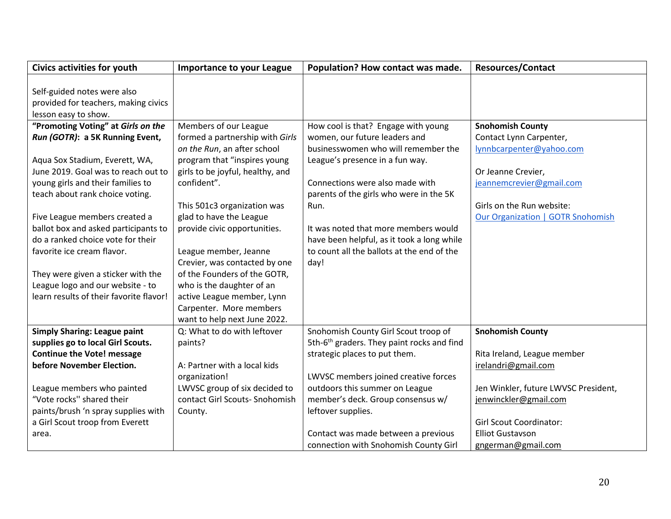| <b>Civics activities for youth</b>                                     | <b>Importance to your League</b>                                | Population? How contact was made.                      | <b>Resources/Contact</b>                 |
|------------------------------------------------------------------------|-----------------------------------------------------------------|--------------------------------------------------------|------------------------------------------|
| Self-guided notes were also                                            |                                                                 |                                                        |                                          |
| provided for teachers, making civics<br>lesson easy to show.           |                                                                 |                                                        |                                          |
| "Promoting Voting" at Girls on the                                     | Members of our League                                           | How cool is that? Engage with young                    | <b>Snohomish County</b>                  |
| Run (GOTR): a 5K Running Event,                                        | formed a partnership with Girls                                 | women, our future leaders and                          | Contact Lynn Carpenter,                  |
|                                                                        | on the Run, an after school                                     | businesswomen who will remember the                    | lynnbcarpenter@yahoo.com                 |
| Aqua Sox Stadium, Everett, WA,                                         | program that "inspires young                                    | League's presence in a fun way.                        |                                          |
| June 2019. Goal was to reach out to                                    | girls to be joyful, healthy, and                                |                                                        | Or Jeanne Crevier,                       |
| young girls and their families to                                      | confident".                                                     | Connections were also made with                        | jeannemcrevier@gmail.com                 |
| teach about rank choice voting.                                        |                                                                 | parents of the girls who were in the 5K                |                                          |
|                                                                        | This 501c3 organization was                                     | Run.                                                   | Girls on the Run website:                |
| Five League members created a                                          | glad to have the League                                         |                                                        | <b>Our Organization   GOTR Snohomish</b> |
| ballot box and asked participants to                                   | provide civic opportunities.                                    | It was noted that more members would                   |                                          |
| do a ranked choice vote for their                                      |                                                                 | have been helpful, as it took a long while             |                                          |
| favorite ice cream flavor.                                             | League member, Jeanne                                           | to count all the ballots at the end of the             |                                          |
|                                                                        | Crevier, was contacted by one                                   | day!                                                   |                                          |
| They were given a sticker with the                                     | of the Founders of the GOTR,                                    |                                                        |                                          |
| League logo and our website - to                                       | who is the daughter of an                                       |                                                        |                                          |
| learn results of their favorite flavor!                                | active League member, Lynn                                      |                                                        |                                          |
|                                                                        | Carpenter. More members                                         |                                                        |                                          |
|                                                                        | want to help next June 2022.                                    |                                                        |                                          |
| <b>Simply Sharing: League paint</b>                                    | Q: What to do with leftover                                     | Snohomish County Girl Scout troop of                   | <b>Snohomish County</b>                  |
| supplies go to local Girl Scouts.                                      | paints?                                                         | 5th-6 <sup>th</sup> graders. They paint rocks and find |                                          |
| <b>Continue the Vote! message</b>                                      |                                                                 | strategic places to put them.                          | Rita Ireland, League member              |
| before November Election.                                              | A: Partner with a local kids                                    |                                                        | irelandri@gmail.com                      |
|                                                                        | organization!                                                   | LWVSC members joined creative forces                   |                                          |
| League members who painted<br>"Vote rocks" shared their                | LWVSC group of six decided to<br>contact Girl Scouts- Snohomish | outdoors this summer on League                         | Jen Winkler, future LWVSC President,     |
|                                                                        |                                                                 | member's deck. Group consensus w/                      | jenwinckler@gmail.com                    |
| paints/brush 'n spray supplies with<br>a Girl Scout troop from Everett | County.                                                         | leftover supplies.                                     | <b>Girl Scout Coordinator:</b>           |
| area.                                                                  |                                                                 | Contact was made between a previous                    | <b>Elliot Gustavson</b>                  |
|                                                                        |                                                                 | connection with Snohomish County Girl                  | gngerman@gmail.com                       |
|                                                                        |                                                                 |                                                        |                                          |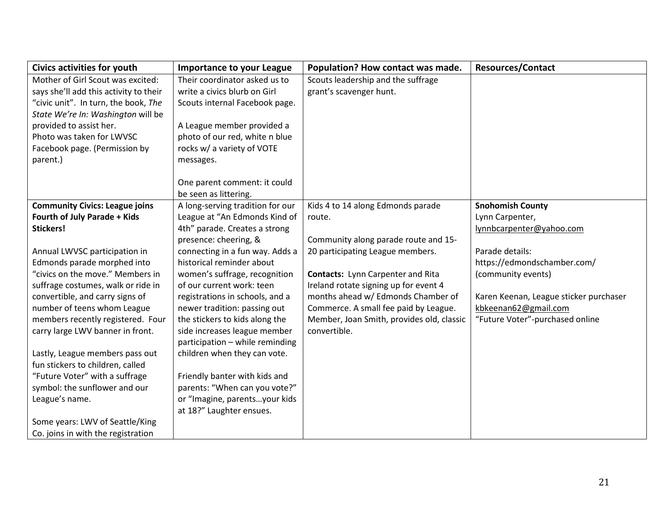| <b>Civics activities for youth</b>     | <b>Importance to your League</b> | Population? How contact was made.         | <b>Resources/Contact</b>               |
|----------------------------------------|----------------------------------|-------------------------------------------|----------------------------------------|
| Mother of Girl Scout was excited:      | Their coordinator asked us to    | Scouts leadership and the suffrage        |                                        |
| says she'll add this activity to their | write a civics blurb on Girl     | grant's scavenger hunt.                   |                                        |
| "civic unit". In turn, the book, The   | Scouts internal Facebook page.   |                                           |                                        |
| State We're In: Washington will be     |                                  |                                           |                                        |
| provided to assist her.                | A League member provided a       |                                           |                                        |
| Photo was taken for LWVSC              | photo of our red, white n blue   |                                           |                                        |
| Facebook page. (Permission by          | rocks w/ a variety of VOTE       |                                           |                                        |
| parent.)                               | messages.                        |                                           |                                        |
|                                        |                                  |                                           |                                        |
|                                        | One parent comment: it could     |                                           |                                        |
|                                        | be seen as littering.            |                                           |                                        |
| <b>Community Civics: League joins</b>  | A long-serving tradition for our | Kids 4 to 14 along Edmonds parade         | <b>Snohomish County</b>                |
| Fourth of July Parade + Kids           | League at "An Edmonds Kind of    | route.                                    | Lynn Carpenter,                        |
| Stickers!                              | 4th" parade. Creates a strong    |                                           | lynnbcarpenter@yahoo.com               |
|                                        | presence: cheering, &            | Community along parade route and 15-      |                                        |
| Annual LWVSC participation in          | connecting in a fun way. Adds a  | 20 participating League members.          | Parade details:                        |
| Edmonds parade morphed into            | historical reminder about        |                                           | https://edmondschamber.com/            |
| "civics on the move." Members in       | women's suffrage, recognition    | Contacts: Lynn Carpenter and Rita         | (community events)                     |
| suffrage costumes, walk or ride in     | of our current work: teen        | Ireland rotate signing up for event 4     |                                        |
| convertible, and carry signs of        | registrations in schools, and a  | months ahead w/ Edmonds Chamber of        | Karen Keenan, League sticker purchaser |
| number of teens whom League            | newer tradition: passing out     | Commerce. A small fee paid by League.     | kbkeenan62@gmail.com                   |
| members recently registered. Four      | the stickers to kids along the   | Member, Joan Smith, provides old, classic | "Future Voter"-purchased online        |
| carry large LWV banner in front.       | side increases league member     | convertible.                              |                                        |
|                                        | participation - while reminding  |                                           |                                        |
| Lastly, League members pass out        | children when they can vote.     |                                           |                                        |
| fun stickers to children, called       |                                  |                                           |                                        |
| "Future Voter" with a suffrage         | Friendly banter with kids and    |                                           |                                        |
| symbol: the sunflower and our          | parents: "When can you vote?"    |                                           |                                        |
| League's name.                         | or "Imagine, parentsyour kids    |                                           |                                        |
|                                        | at 18?" Laughter ensues.         |                                           |                                        |
| Some years: LWV of Seattle/King        |                                  |                                           |                                        |
| Co. joins in with the registration     |                                  |                                           |                                        |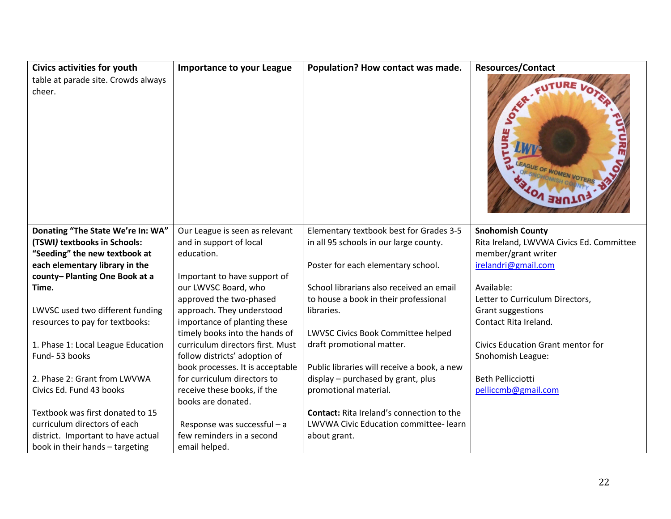| Civics activities for youth                   | <b>Importance to your League</b> | Population? How contact was made.                | <b>Resources/Contact</b>                 |
|-----------------------------------------------|----------------------------------|--------------------------------------------------|------------------------------------------|
| table at parade site. Crowds always<br>cheer. |                                  |                                                  | $\mathcal{S}$<br>EAGUE OF WOMEN VO       |
| Donating "The State We're In: WA"             | Our League is seen as relevant   | Elementary textbook best for Grades 3-5          | <b>Snohomish County</b>                  |
| (TSWI) textbooks in Schools:                  | and in support of local          | in all 95 schools in our large county.           | Rita Ireland, LWVWA Civics Ed. Committee |
| "Seeding" the new textbook at                 | education.                       |                                                  | member/grant writer                      |
| each elementary library in the                |                                  | Poster for each elementary school.               | irelandri@gmail.com                      |
| county-Planting One Book at a                 | Important to have support of     |                                                  |                                          |
| Time.                                         | our LWVSC Board, who             | School librarians also received an email         | Available:                               |
|                                               | approved the two-phased          | to house a book in their professional            | Letter to Curriculum Directors,          |
| LWVSC used two different funding              | approach. They understood        | libraries.                                       | Grant suggestions                        |
| resources to pay for textbooks:               | importance of planting these     |                                                  | Contact Rita Ireland.                    |
|                                               | timely books into the hands of   | LWVSC Civics Book Committee helped               |                                          |
| 1. Phase 1: Local League Education            | curriculum directors first. Must | draft promotional matter.                        | Civics Education Grant mentor for        |
| Fund-53 books                                 | follow districts' adoption of    |                                                  | Snohomish League:                        |
|                                               | book processes. It is acceptable | Public libraries will receive a book, a new      |                                          |
| 2. Phase 2: Grant from LWVWA                  | for curriculum directors to      | display - purchased by grant, plus               | <b>Beth Pellicciotti</b>                 |
| Civics Ed. Fund 43 books                      | receive these books, if the      | promotional material.                            | pelliccmb@gmail.com                      |
|                                               | books are donated.               |                                                  |                                          |
| Textbook was first donated to 15              |                                  | <b>Contact:</b> Rita Ireland's connection to the |                                          |
| curriculum directors of each                  | Response was successful - a      | LWVWA Civic Education committee-learn            |                                          |
| district. Important to have actual            | few reminders in a second        | about grant.                                     |                                          |
| book in their hands - targeting               | email helped.                    |                                                  |                                          |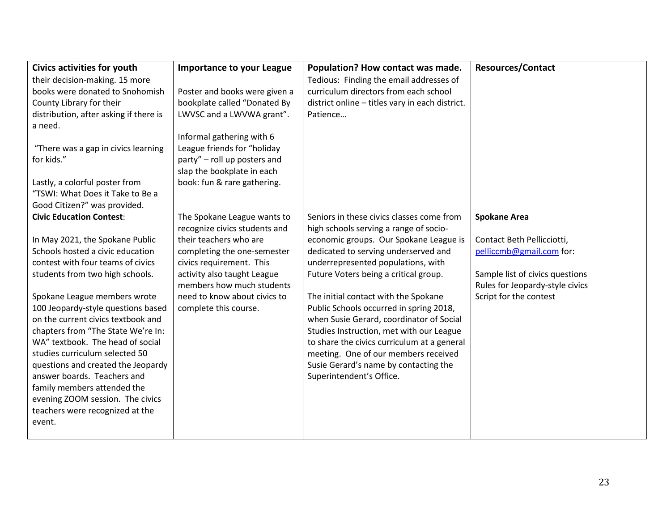| Civics activities for youth            | <b>Importance to your League</b> | Population? How contact was made.               | <b>Resources/Contact</b>        |
|----------------------------------------|----------------------------------|-------------------------------------------------|---------------------------------|
| their decision-making. 15 more         |                                  | Tedious: Finding the email addresses of         |                                 |
| books were donated to Snohomish        | Poster and books were given a    | curriculum directors from each school           |                                 |
| County Library for their               | bookplate called "Donated By     | district online - titles vary in each district. |                                 |
| distribution, after asking if there is | LWVSC and a LWVWA grant".        | Patience                                        |                                 |
| a need.                                |                                  |                                                 |                                 |
|                                        | Informal gathering with 6        |                                                 |                                 |
| "There was a gap in civics learning    | League friends for "holiday      |                                                 |                                 |
| for kids."                             | party" - roll up posters and     |                                                 |                                 |
|                                        | slap the bookplate in each       |                                                 |                                 |
| Lastly, a colorful poster from         | book: fun & rare gathering.      |                                                 |                                 |
| "TSWI: What Does it Take to Be a       |                                  |                                                 |                                 |
| Good Citizen?" was provided.           |                                  |                                                 |                                 |
| <b>Civic Education Contest:</b>        | The Spokane League wants to      | Seniors in these civics classes come from       | <b>Spokane Area</b>             |
|                                        | recognize civics students and    | high schools serving a range of socio-          |                                 |
| In May 2021, the Spokane Public        | their teachers who are           | economic groups. Our Spokane League is          | Contact Beth Pellicciotti,      |
| Schools hosted a civic education       | completing the one-semester      | dedicated to serving underserved and            | pelliccmb@gmail.com for:        |
| contest with four teams of civics      | civics requirement. This         | underrepresented populations, with              |                                 |
| students from two high schools.        | activity also taught League      | Future Voters being a critical group.           | Sample list of civics questions |
|                                        | members how much students        |                                                 | Rules for Jeopardy-style civics |
| Spokane League members wrote           | need to know about civics to     | The initial contact with the Spokane            | Script for the contest          |
| 100 Jeopardy-style questions based     | complete this course.            | Public Schools occurred in spring 2018,         |                                 |
| on the current civics textbook and     |                                  | when Susie Gerard, coordinator of Social        |                                 |
| chapters from "The State We're In:     |                                  | Studies Instruction, met with our League        |                                 |
| WA" textbook. The head of social       |                                  | to share the civics curriculum at a general     |                                 |
| studies curriculum selected 50         |                                  | meeting. One of our members received            |                                 |
| questions and created the Jeopardy     |                                  | Susie Gerard's name by contacting the           |                                 |
| answer boards. Teachers and            |                                  | Superintendent's Office.                        |                                 |
| family members attended the            |                                  |                                                 |                                 |
| evening ZOOM session. The civics       |                                  |                                                 |                                 |
| teachers were recognized at the        |                                  |                                                 |                                 |
| event.                                 |                                  |                                                 |                                 |
|                                        |                                  |                                                 |                                 |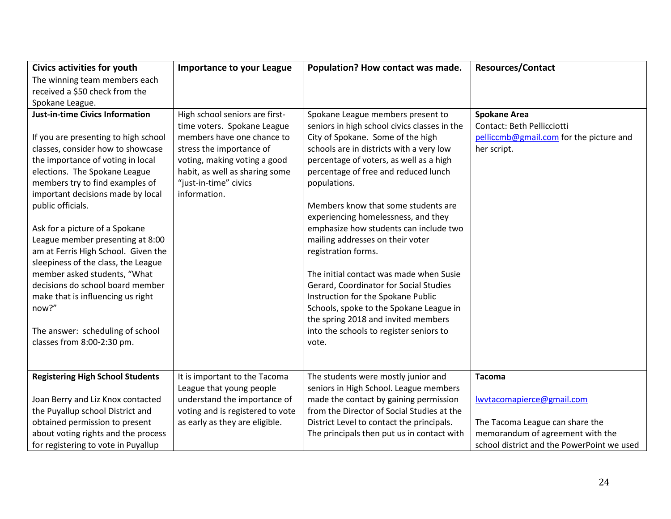| <b>Civics activities for youth</b>      | <b>Importance to your League</b> | Population? How contact was made.            | <b>Resources/Contact</b>                   |
|-----------------------------------------|----------------------------------|----------------------------------------------|--------------------------------------------|
| The winning team members each           |                                  |                                              |                                            |
| received a \$50 check from the          |                                  |                                              |                                            |
| Spokane League.                         |                                  |                                              |                                            |
| <b>Just-in-time Civics Information</b>  | High school seniors are first-   | Spokane League members present to            | <b>Spokane Area</b>                        |
|                                         | time voters. Spokane League      | seniors in high school civics classes in the | Contact: Beth Pellicciotti                 |
| If you are presenting to high school    | members have one chance to       | City of Spokane. Some of the high            | pelliccmb@gmail.com for the picture and    |
| classes, consider how to showcase       | stress the importance of         | schools are in districts with a very low     | her script.                                |
| the importance of voting in local       | voting, making voting a good     | percentage of voters, as well as a high      |                                            |
| elections. The Spokane League           | habit, as well as sharing some   | percentage of free and reduced lunch         |                                            |
| members try to find examples of         | "just-in-time" civics            | populations.                                 |                                            |
| important decisions made by local       | information.                     |                                              |                                            |
| public officials.                       |                                  | Members know that some students are          |                                            |
|                                         |                                  | experiencing homelessness, and they          |                                            |
| Ask for a picture of a Spokane          |                                  | emphasize how students can include two       |                                            |
| League member presenting at 8:00        |                                  | mailing addresses on their voter             |                                            |
| am at Ferris High School. Given the     |                                  | registration forms.                          |                                            |
| sleepiness of the class, the League     |                                  |                                              |                                            |
| member asked students, "What            |                                  | The initial contact was made when Susie      |                                            |
| decisions do school board member        |                                  | Gerard, Coordinator for Social Studies       |                                            |
| make that is influencing us right       |                                  | Instruction for the Spokane Public           |                                            |
| now?"                                   |                                  | Schools, spoke to the Spokane League in      |                                            |
|                                         |                                  | the spring 2018 and invited members          |                                            |
| The answer: scheduling of school        |                                  | into the schools to register seniors to      |                                            |
| classes from 8:00-2:30 pm.              |                                  | vote.                                        |                                            |
|                                         |                                  |                                              |                                            |
| <b>Registering High School Students</b> | It is important to the Tacoma    | The students were mostly junior and          | <b>Tacoma</b>                              |
|                                         | League that young people         | seniors in High School. League members       |                                            |
| Joan Berry and Liz Knox contacted       | understand the importance of     | made the contact by gaining permission       | lwytacomapierce@gmail.com                  |
| the Puyallup school District and        | voting and is registered to vote | from the Director of Social Studies at the   |                                            |
| obtained permission to present          | as early as they are eligible.   | District Level to contact the principals.    | The Tacoma League can share the            |
| about voting rights and the process     |                                  | The principals then put us in contact with   | memorandum of agreement with the           |
| for registering to vote in Puyallup     |                                  |                                              | school district and the PowerPoint we used |